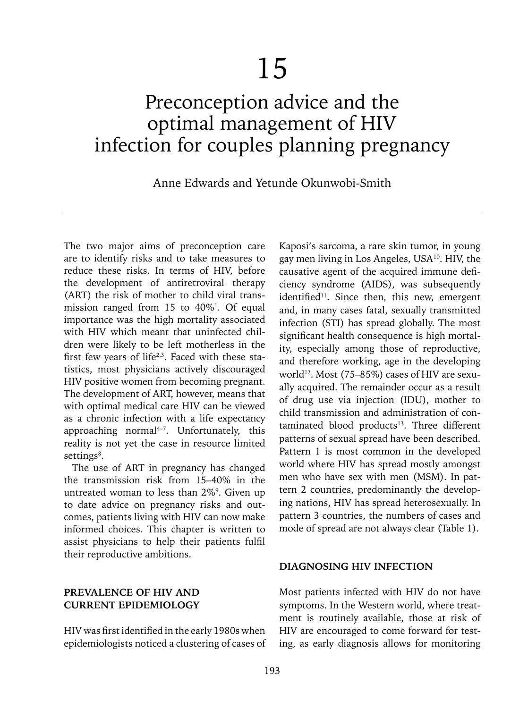# Preconception advice and the optimal management of HIV infection for couples planning pregnancy

Anne Edwards and Yetunde Okunwobi-Smith

The two major aims of preconception care are to identify risks and to take measures to reduce these risks. In terms of HIV, before the development of antiretroviral therapy (ART) the risk of mother to child viral transmission ranged from  $15$  to  $40\%$ <sup>1</sup>. Of equal importance was the high mortality associated with HIV which meant that uninfected children were likely to be left motherless in the first few years of life<sup>2,3</sup>. Faced with these statistics, most physicians actively discouraged HIV positive women from becoming pregnant. The development of ART, however, means that with optimal medical care HIV can be viewed as a chronic infection with a life expectancy approaching normal<sup>4-7</sup>. Unfortunately, this reality is not yet the case in resource limited settings<sup>8</sup>.

The use of ART in pregnancy has changed the transmission risk from 15–40% in the untreated woman to less than 2%<sup>9</sup>. Given up to date advice on pregnancy risks and outcomes, patients living with HIV can now make informed choices. This chapter is written to assist physicians to help their patients fulfil their reproductive ambitions.

#### **PREVALENCE OF HIV AND CURRENT EPIDEMIOLOGY**

HIV was first identified in the early 1980s when epidemiologists noticed a clustering of cases of

Kaposi's sarcoma, a rare skin tumor, in young gay men living in Los Angeles, USA10. HIV, the causative agent of the acquired immune deficiency syndrome (AIDS), was subsequently identified<sup>11</sup>. Since then, this new, emergent and, in many cases fatal, sexually transmitted infection (STI) has spread globally. The most significant health consequence is high mortality, especially among those of reproductive, and therefore working, age in the developing world<sup>12</sup>. Most (75–85%) cases of HIV are sexually acquired. The remainder occur as a result of drug use via injection (IDU), mother to child transmission and administration of con $t$ aminated blood products<sup>13</sup>. Three different patterns of sexual spread have been described. Pattern 1 is most common in the developed world where HIV has spread mostly amongst men who have sex with men (MSM). In pattern 2 countries, predominantly the developing nations, HIV has spread heterosexually. In pattern 3 countries, the numbers of cases and mode of spread are not always clear (Table 1).

#### **DIAGNOSING HIV INFECTION**

Most patients infected with HIV do not have symptoms. In the Western world, where treatment is routinely available, those at risk of HIV are encouraged to come forward for testing, as early diagnosis allows for monitoring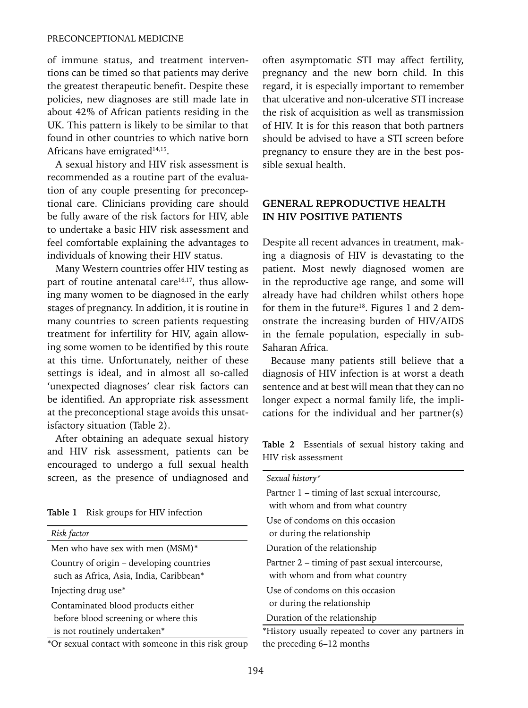of immune status, and treatment interventions can be timed so that patients may derive the greatest therapeutic benefit. Despite these policies, new diagnoses are still made late in about 42% of African patients residing in the UK. This pattern is likely to be similar to that found in other countries to which native born Africans have emigrated<sup>14,15</sup>.

A sexual history and HIV risk assessment is recommended as a routine part of the evaluation of any couple presenting for preconceptional care. Clinicians providing care should be fully aware of the risk factors for HIV, able to undertake a basic HIV risk assessment and feel comfortable explaining the advantages to individuals of knowing their HIV status.

Many Western countries offer HIV testing as part of routine antenatal care<sup>16,17</sup>, thus allowing many women to be diagnosed in the early stages of pregnancy. In addition, it is routine in many countries to screen patients requesting treatment for infertility for HIV, again allowing some women to be identified by this route at this time. Unfortunately, neither of these settings is ideal, and in almost all so-called 'unexpected diagnoses' clear risk factors can be identified. An appropriate risk assessment at the preconceptional stage avoids this unsatisfactory situation (Table 2).

After obtaining an adequate sexual history and HIV risk assessment, patients can be encouraged to undergo a full sexual health screen, as the presence of undiagnosed and

**Table 1** Risk groups for HIV infection

| Risk factor                                                                         |
|-------------------------------------------------------------------------------------|
| Men who have sex with men (MSM)*                                                    |
| Country of origin - developing countries<br>such as Africa, Asia, India, Caribbean* |
| Injecting drug use <sup>*</sup>                                                     |
| Contaminated blood products either                                                  |
| before blood screening or where this                                                |
| is not routinely undertaken*                                                        |
| *Or sexual contact with someone in this risk group                                  |

\*Or sexual contact with someone in this risk group

often asymptomatic STI may affect fertility, pregnancy and the new born child. In this regard, it is especially important to remember that ulcerative and non-ulcerative STI increase the risk of acquisition as well as transmission of HIV. It is for this reason that both partners should be advised to have a STI screen before pregnancy to ensure they are in the best possible sexual health.

#### **GENERAL REPRODUCTIVE HEALTH IN HIV POSITIVE PATIENTS**

Despite all recent advances in treatment, making a diagnosis of HIV is devastating to the patient. Most newly diagnosed women are in the reproductive age range, and some will already have had children whilst others hope for them in the future<sup>18</sup>. Figures 1 and 2 demonstrate the increasing burden of HIV/AIDS in the female population, especially in sub-Saharan Africa.

Because many patients still believe that a diagnosis of HIV infection is at worst a death sentence and at best will mean that they can no longer expect a normal family life, the implications for the individual and her partner(s)

**Table 2** Essentials of sexual history taking and HIV risk assessment

| Sexual history*                                    |
|----------------------------------------------------|
| Partner 1 – timing of last sexual intercourse,     |
| with whom and from what country                    |
| Use of condoms on this occasion                    |
| or during the relationship                         |
| Duration of the relationship                       |
| Partner 2 – timing of past sexual intercourse,     |
| with whom and from what country                    |
| Use of condoms on this occasion                    |
| or during the relationship                         |
| Duration of the relationship                       |
| *History usually repeated to cover any partners in |

the preceding 6–12 months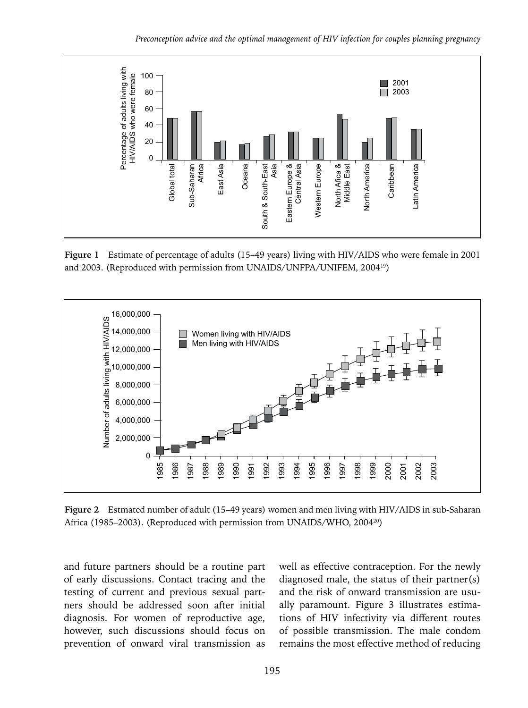*Preconception advice and the optimal management of HIV infection for couples planning pregnancy*



**Figure 1** Estimate of percentage of adults (15–49 years) living with HIV/AIDS who were female in 2001 and 2003. (Reproduced with permission from UNAIDS/UNFPA/UNIFEM, 200419)



**Figure 2** Estmated number of adult (15–49 years) women and men living with HIV/AIDS in sub-Saharan Africa (1985–2003). (Reproduced with permission from UNAIDS/WHO, 2004<sup>20</sup>)

and future partners should be a routine part of early discussions. Contact tracing and the testing of current and previous sexual partners should be addressed soon after initial diagnosis. For women of reproductive age, however, such discussions should focus on prevention of onward viral transmission as

well as effective contraception. For the newly diagnosed male, the status of their partner(s) and the risk of onward transmission are usually paramount. Figure 3 illustrates estimations of HIV infectivity via different routes of possible transmission. The male condom remains the most effective method of reducing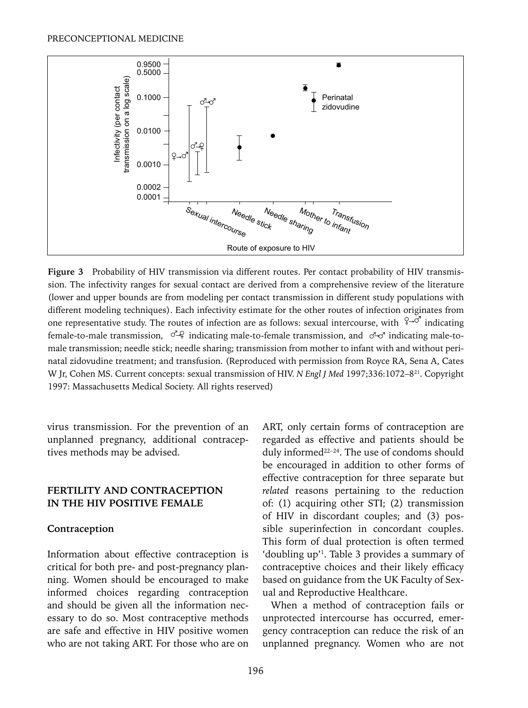

Figure 3 Probability of HIV transmission via different routes. Per contact probability of HIV transmission. The infectivity ranges for sexual contact are derived from a comprehensive review of the literature (lower and upper bounds are from modeling per contact transmission in different study populations with different modeling techniques). Each infectivity estimate for the other routes of infection originates from one representative study. The routes of infection are as follows: sexual intercourse, with  $\int_{0}^{\infty}$  indicating female-to-male transmission,  $\sigma^2$  indicating male-to-female transmission, and  $\sigma^2$  indicating male-tomale transmission; needle stick; needle sharing; transmission from mother to infant with and without perinatal zidovudine treatment; and transfusion. (Reproduced with permission from Royce RA, Sena A, Cates W Jr, Cohen MS. Current concepts: sexual transmission of HIV. *N Engl J Med* 1997;336:1072–8<sup>21</sup>. Copyright 1997: Massachusetts Medical Society. All rights reserved)

virus transmission. For the prevention of an unplanned pregnancy, additional contraceptives methods may be advised.

#### **FERTILITY AND CONTRACEPTION IN THE HIV POSITIVE FEMALE**

#### **Contraception**

Information about effective contraception is critical for both pre- and post-pregnancy planning. Women should be encouraged to make informed choices regarding contraception and should be given all the information necessary to do so. Most contraceptive methods are safe and effective in HIV positive women who are not taking ART. For those who are on ART, only certain forms of contraception are regarded as effective and patients should be duly informed<sup>22-24</sup>. The use of condoms should be encouraged in addition to other forms of effective contraception for three separate but *related* reasons pertaining to the reduction of: (1) acquiring other STI; (2) transmission of HIV in discordant couples; and (3) possible superinfection in concordant couples. This form of dual protection is often termed 'doubling up'1 . Table 3 provides a summary of contraceptive choices and their likely efficacy based on guidance from the UK Faculty of Sexual and Reproductive Healthcare.

When a method of contraception fails or unprotected intercourse has occurred, emergency contraception can reduce the risk of an unplanned pregnancy. Women who are not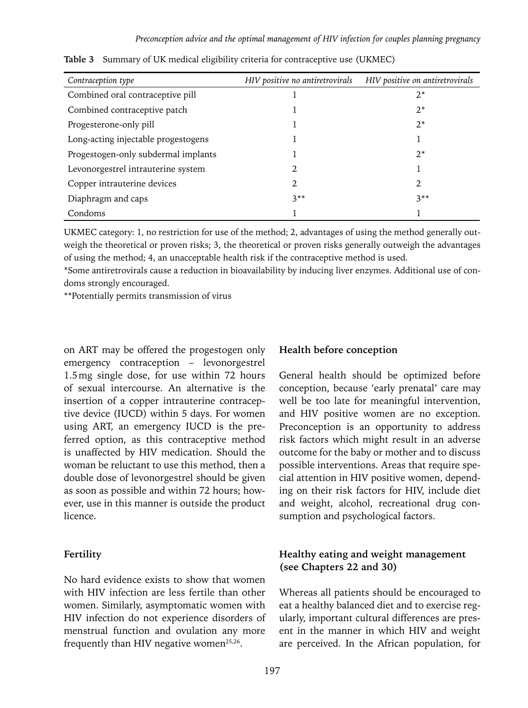| Contraception type                  | HIV positive no antiretrovirals | HIV positive on antiretrovirals |
|-------------------------------------|---------------------------------|---------------------------------|
| Combined oral contraceptive pill    |                                 | $2^*$                           |
| Combined contraceptive patch        |                                 | $2^*$                           |
| Progesterone-only pill              |                                 | $2^*$                           |
| Long-acting injectable progestogens |                                 |                                 |
| Progestogen-only subdermal implants |                                 | $2^*$                           |
| Levonorgestrel intrauterine system  | 2.                              |                                 |
| Copper intrauterine devices         | 2.                              | 2.                              |
| Diaphragm and caps                  | $3**$                           | $3**$                           |
| Condoms                             |                                 |                                 |

**Table 3** Summary of UK medical eligibility criteria for contraceptive use (UKMEC)

UKMEC category: 1, no restriction for use of the method; 2, advantages of using the method generally outweigh the theoretical or proven risks; 3, the theoretical or proven risks generally outweigh the advantages of using the method; 4, an unacceptable health risk if the contraceptive method is used.

\*Some antiretrovirals cause a reduction in bioavailability by inducing liver enzymes. Additional use of condoms strongly encouraged.

\*\*Potentially permits transmission of virus

on ART may be offered the progestogen only emergency contraception – levonorgestrel 1.5mg single dose, for use within 72 hours of sexual intercourse. An alternative is the insertion of a copper intrauterine contraceptive device (IUCD) within 5 days. For women using ART, an emergency IUCD is the preferred option, as this contraceptive method is unaffected by HIV medication. Should the woman be reluctant to use this method, then a double dose of levonorgestrel should be given as soon as possible and within 72 hours; however, use in this manner is outside the product licence.

#### **Fertility**

No hard evidence exists to show that women with HIV infection are less fertile than other women. Similarly, asymptomatic women with HIV infection do not experience disorders of menstrual function and ovulation any more frequently than HIV negative women<sup>25,26</sup>.

#### **Health before conception**

General health should be optimized before conception, because 'early prenatal' care may well be too late for meaningful intervention, and HIV positive women are no exception. Preconception is an opportunity to address risk factors which might result in an adverse outcome for the baby or mother and to discuss possible interventions. Areas that require special attention in HIV positive women, depending on their risk factors for HIV, include diet and weight, alcohol, recreational drug consumption and psychological factors.

#### **Healthy eating and weight management (see Chapters 22 and 30)**

Whereas all patients should be encouraged to eat a healthy balanced diet and to exercise regularly, important cultural differences are present in the manner in which HIV and weight are perceived. In the African population, for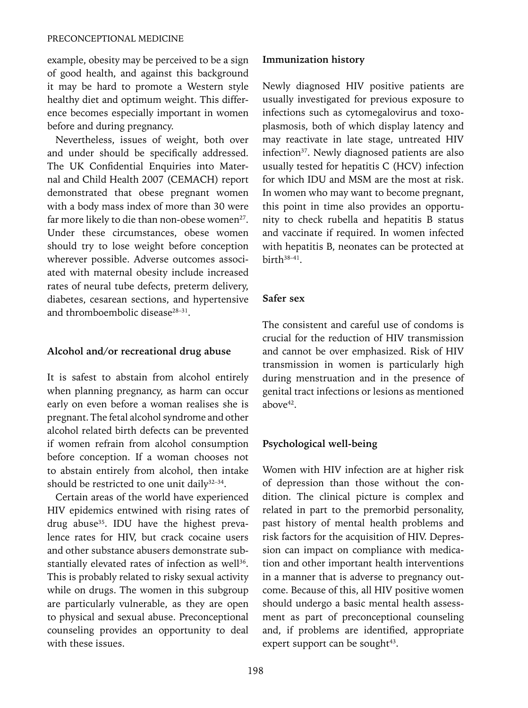example, obesity may be perceived to be a sign of good health, and against this background it may be hard to promote a Western style healthy diet and optimum weight. This difference becomes especially important in women before and during pregnancy.

Nevertheless, issues of weight, both over and under should be specifically addressed. The UK Confidential Enquiries into Maternal and Child Health 2007 (CEMACH) report demonstrated that obese pregnant women with a body mass index of more than 30 were far more likely to die than non-obese women $27$ . Under these circumstances, obese women should try to lose weight before conception wherever possible. Adverse outcomes associated with maternal obesity include increased rates of neural tube defects, preterm delivery, diabetes, cesarean sections, and hypertensive and thromboembolic disease<sup>28-31</sup>

#### **Alcohol and/or recreational drug abuse**

It is safest to abstain from alcohol entirely when planning pregnancy, as harm can occur early on even before a woman realises she is pregnant. The fetal alcohol syndrome and other alcohol related birth defects can be prevented if women refrain from alcohol consumption before conception. If a woman chooses not to abstain entirely from alcohol, then intake should be restricted to one unit daily<sup>32-34</sup>.

Certain areas of the world have experienced HIV epidemics entwined with rising rates of drug abuse<sup>35</sup>. IDU have the highest prevalence rates for HIV, but crack cocaine users and other substance abusers demonstrate substantially elevated rates of infection as well<sup>36</sup>. This is probably related to risky sexual activity while on drugs. The women in this subgroup are particularly vulnerable, as they are open to physical and sexual abuse. Preconceptional counseling provides an opportunity to deal with these issues.

#### **Immunization history**

Newly diagnosed HIV positive patients are usually investigated for previous exposure to infections such as cytomegalovirus and toxoplasmosis, both of which display latency and may reactivate in late stage, untreated HIV infection<sup>37</sup>. Newly diagnosed patients are also usually tested for hepatitis C (HCV) infection for which IDU and MSM are the most at risk. In women who may want to become pregnant, this point in time also provides an opportunity to check rubella and hepatitis B status and vaccinate if required. In women infected with hepatitis B, neonates can be protected at birth38–41.

#### **Safer sex**

The consistent and careful use of condoms is crucial for the reduction of HIV transmission and cannot be over emphasized. Risk of HIV transmission in women is particularly high during menstruation and in the presence of genital tract infections or lesions as mentioned above42.

## **Psychological well-being**

Women with HIV infection are at higher risk of depression than those without the condition. The clinical picture is complex and related in part to the premorbid personality, past history of mental health problems and risk factors for the acquisition of HIV. Depression can impact on compliance with medication and other important health interventions in a manner that is adverse to pregnancy outcome. Because of this, all HIV positive women should undergo a basic mental health assessment as part of preconceptional counseling and, if problems are identified, appropriate expert support can be sought $43$ .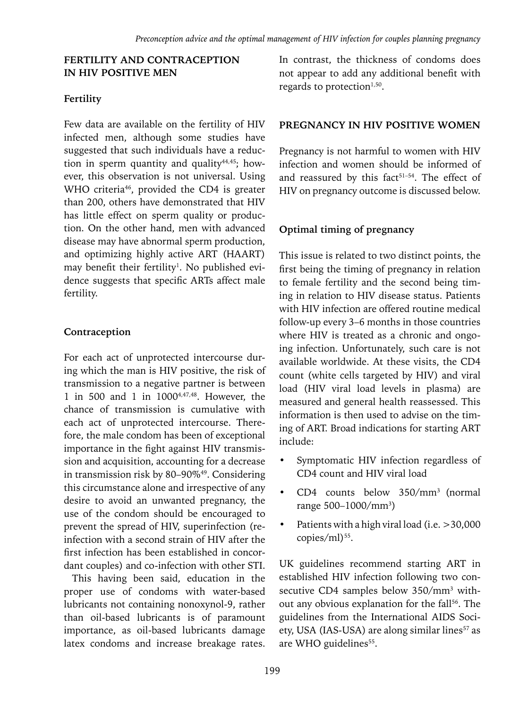#### **FERTILITY AND CONTRACEPTION IN HIV POSITIVE MEN**

## **Fertility**

Few data are available on the fertility of HIV infected men, although some studies have suggested that such individuals have a reduction in sperm quantity and quality $44,45$ ; however, this observation is not universal. Using WHO criteria<sup>46</sup>, provided the CD4 is greater than 200, others have demonstrated that HIV has little effect on sperm quality or production. On the other hand, men with advanced disease may have abnormal sperm production, and optimizing highly active ART (HAART) may benefit their fertility<sup>1</sup>. No published evidence suggests that specific ARTs affect male fertility.

# **Contraception**

For each act of unprotected intercourse during which the man is HIV positive, the risk of transmission to a negative partner is between 1 in 500 and 1 in 10004,47,48. However, the chance of transmission is cumulative with each act of unprotected intercourse. Therefore, the male condom has been of exceptional importance in the fight against HIV transmission and acquisition, accounting for a decrease in transmission risk by 80–90%49. Considering this circumstance alone and irrespective of any desire to avoid an unwanted pregnancy, the use of the condom should be encouraged to prevent the spread of HIV, superinfection (reinfection with a second strain of HIV after the first infection has been established in concordant couples) and co-infection with other STI.

This having been said, education in the proper use of condoms with water-based lubricants not containing nonoxynol-9, rather than oil-based lubricants is of paramount importance, as oil-based lubricants damage latex condoms and increase breakage rates. In contrast, the thickness of condoms does not appear to add any additional benefit with regards to protection $1,50$ .

## **PREGNANCY IN HIV POSITIVE WOMEN**

Pregnancy is not harmful to women with HIV infection and women should be informed of and reassured by this fact<sup>51-54</sup>. The effect of HIV on pregnancy outcome is discussed below.

# **Optimal timing of pregnancy**

This issue is related to two distinct points, the first being the timing of pregnancy in relation to female fertility and the second being timing in relation to HIV disease status. Patients with HIV infection are offered routine medical follow-up every 3–6 months in those countries where HIV is treated as a chronic and ongoing infection. Unfortunately, such care is not available worldwide. At these visits, the CD4 count (white cells targeted by HIV) and viral load (HIV viral load levels in plasma) are measured and general health reassessed. This information is then used to advise on the timing of ART. Broad indications for starting ART include:

- Symptomatic HIV infection regardless of CD4 count and HIV viral load
- CD4 counts below 350/mm3 (normal range 500–1000/mm3 )
- Patients with a high viral load (i.e. >30,000 copies/ml)<sup>55</sup>.

UK guidelines recommend starting ART in established HIV infection following two consecutive CD4 samples below 350/mm<sup>3</sup> without any obvious explanation for the fall<sup>56</sup>. The guidelines from the International AIDS Society, USA (IAS-USA) are along similar lines<sup>57</sup> as are WHO guidelines<sup>55</sup>.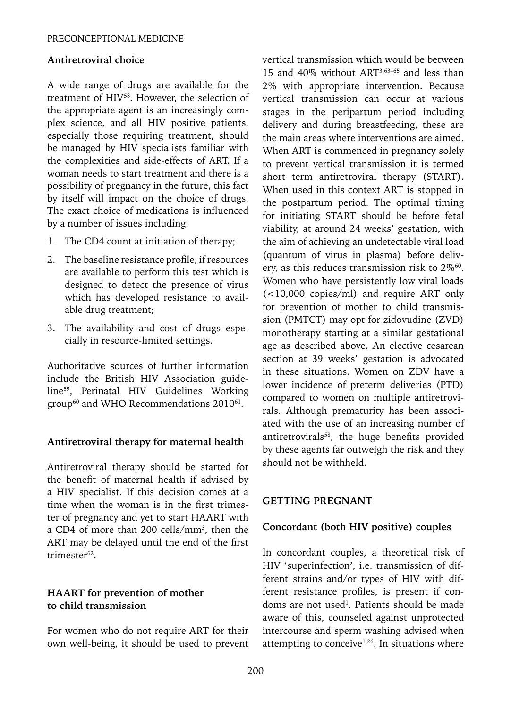#### **Antiretroviral choice**

A wide range of drugs are available for the treatment of HIV58. However, the selection of the appropriate agent is an increasingly complex science, and all HIV positive patients, especially those requiring treatment, should be managed by HIV specialists familiar with the complexities and side-effects of ART. If a woman needs to start treatment and there is a possibility of pregnancy in the future, this fact by itself will impact on the choice of drugs. The exact choice of medications is influenced by a number of issues including:

- 1. The CD4 count at initiation of therapy;
- 2. The baseline resistance profile, if resources are available to perform this test which is designed to detect the presence of virus which has developed resistance to available drug treatment;
- 3. The availability and cost of drugs especially in resource-limited settings.

Authoritative sources of further information include the British HIV Association guideline59, Perinatal HIV Guidelines Working group<sup>60</sup> and WHO Recommendations 2010<sup>61</sup>.

## **Antiretroviral therapy for maternal health**

Antiretroviral therapy should be started for the benefit of maternal health if advised by a HIV specialist. If this decision comes at a time when the woman is in the first trimester of pregnancy and yet to start HAART with a CD4 of more than 200 cells/mm3 , then the ART may be delayed until the end of the first trimester62.

## **HAART for prevention of mother to child transmission**

For women who do not require ART for their own well-being, it should be used to prevent vertical transmission which would be between 15 and 40% without ART3,63–65 and less than 2% with appropriate intervention. Because vertical transmission can occur at various stages in the peripartum period including delivery and during breastfeeding, these are the main areas where interventions are aimed. When ART is commenced in pregnancy solely to prevent vertical transmission it is termed short term antiretroviral therapy (START). When used in this context ART is stopped in the postpartum period. The optimal timing for initiating START should be before fetal viability, at around 24 weeks' gestation, with the aim of achieving an undetectable viral load (quantum of virus in plasma) before delivery, as this reduces transmission risk to  $2\%$ <sup>60</sup>. Women who have persistently low viral loads (<10,000 copies/ml) and require ART only for prevention of mother to child transmission (PMTCT) may opt for zidovudine (ZVD) monotherapy starting at a similar gestational age as described above. An elective cesarean section at 39 weeks' gestation is advocated in these situations. Women on ZDV have a lower incidence of preterm deliveries (PTD) compared to women on multiple antiretrovirals. Although prematurity has been associated with the use of an increasing number of antiretrovirals<sup>58</sup>, the huge benefits provided by these agents far outweigh the risk and they should not be withheld.

## **GETTING PREGNANT**

## **Concordant (both HIV positive) couples**

In concordant couples, a theoretical risk of HIV 'superinfection', i.e. transmission of different strains and/or types of HIV with different resistance profiles, is present if condoms are not used<sup>1</sup>. Patients should be made aware of this, counseled against unprotected intercourse and sperm washing advised when attempting to conceive<sup> $1,26$ </sup>. In situations where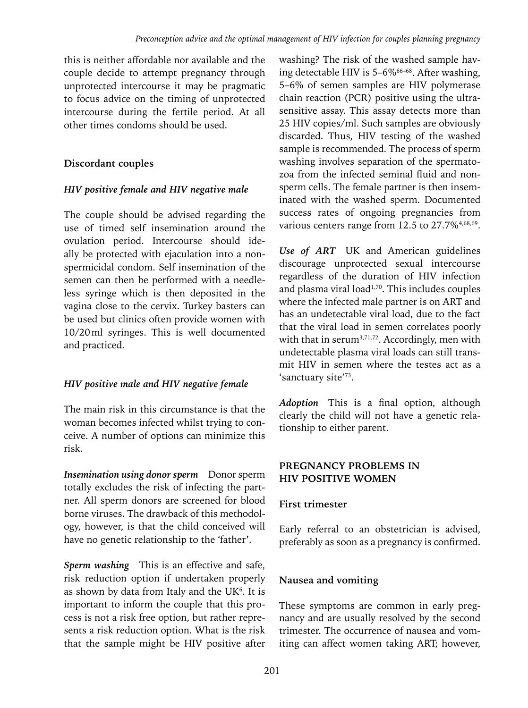this is neither affordable nor available and the couple decide to attempt pregnancy through unprotected intercourse it may be pragmatic to focus advice on the timing of unprotected intercourse during the fertile period. At all other times condoms should be used.

# **Discordant couples**

## *HIV positive female and HIV negative male*

The couple should be advised regarding the use of timed self insemination around the ovulation period. Intercourse should ideally be protected with ejaculation into a nonspermicidal condom. Self insemination of the semen can then be performed with a needleless syringe which is then deposited in the vagina close to the cervix. Turkey basters can be used but clinics often provide women with 10/20ml syringes. This is well documented and practiced.

## *HIV positive male and HIV negative female*

The main risk in this circumstance is that the woman becomes infected whilst trying to conceive. A number of options can minimize this risk.

*Insemination using donor sperm* Donor sperm totally excludes the risk of infecting the partner. All sperm donors are screened for blood borne viruses. The drawback of this methodology, however, is that the child conceived will have no genetic relationship to the 'father'.

*Sperm washing* This is an effective and safe, risk reduction option if undertaken properly as shown by data from Italy and the UK $<sup>6</sup>$ . It is</sup> important to inform the couple that this process is not a risk free option, but rather represents a risk reduction option. What is the risk that the sample might be HIV positive after

washing? The risk of the washed sample having detectable HIV is  $5-6\%$ <sup>66-68</sup>. After washing, 5–6% of semen samples are HIV polymerase chain reaction (PCR) positive using the ultrasensitive assay. This assay detects more than 25 HIV copies/ml. Such samples are obviously discarded. Thus, HIV testing of the washed sample is recommended. The process of sperm washing involves separation of the spermatozoa from the infected seminal fluid and nonsperm cells. The female partner is then inseminated with the washed sperm. Documented success rates of ongoing pregnancies from various centers range from 12.5 to 27.7%<sup>4,68,69</sup>.

*Use of ART* UK and American guidelines discourage unprotected sexual intercourse regardless of the duration of HIV infection and plasma viral load<sup>1,70</sup>. This includes couples where the infected male partner is on ART and has an undetectable viral load, due to the fact that the viral load in semen correlates poorly with that in serum<sup>3,71,72</sup>. Accordingly, men with undetectable plasma viral loads can still transmit HIV in semen where the testes act as a 'sanctuary site'73.

*Adoption* This is a final option, although clearly the child will not have a genetic relationship to either parent.

# **PREGNANCY PROBLEMS IN HIV POSITIVE WOMEN**

# **First trimester**

Early referral to an obstetrician is advised, preferably as soon as a pregnancy is confirmed.

# **Nausea and vomiting**

These symptoms are common in early pregnancy and are usually resolved by the second trimester. The occurrence of nausea and vomiting can affect women taking ART; however,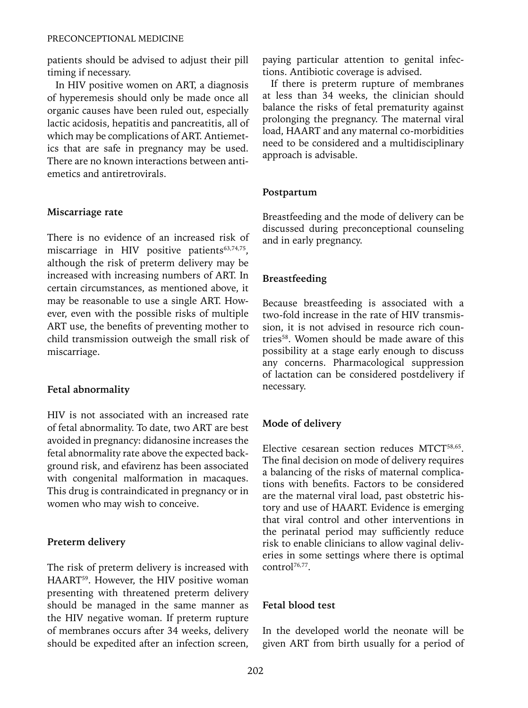patients should be advised to adjust their pill timing if necessary.

In HIV positive women on ART, a diagnosis of hyperemesis should only be made once all organic causes have been ruled out, especially lactic acidosis, hepatitis and pancreatitis, all of which may be complications of ART. Antiemetics that are safe in pregnancy may be used. There are no known interactions between antiemetics and antiretrovirals.

#### **Miscarriage rate**

There is no evidence of an increased risk of miscarriage in HIV positive patients<sup>63,74,75</sup>, although the risk of preterm delivery may be increased with increasing numbers of ART. In certain circumstances, as mentioned above, it may be reasonable to use a single ART. However, even with the possible risks of multiple ART use, the benefits of preventing mother to child transmission outweigh the small risk of miscarriage.

#### **Fetal abnormality**

HIV is not associated with an increased rate of fetal abnormality. To date, two ART are best avoided in pregnancy: didanosine increases the fetal abnormality rate above the expected background risk, and efavirenz has been associated with congenital malformation in macaques. This drug is contraindicated in pregnancy or in women who may wish to conceive.

#### **Preterm delivery**

The risk of preterm delivery is increased with HAART<sup>59</sup>. However, the HIV positive woman presenting with threatened preterm delivery should be managed in the same manner as the HIV negative woman. If preterm rupture of membranes occurs after 34 weeks, delivery should be expedited after an infection screen, paying particular attention to genital infections. Antibiotic coverage is advised.

If there is preterm rupture of membranes at less than 34 weeks, the clinician should balance the risks of fetal prematurity against prolonging the pregnancy. The maternal viral load, HAART and any maternal co-morbidities need to be considered and a multidisciplinary approach is advisable.

#### **Postpartum**

Breastfeeding and the mode of delivery can be discussed during preconceptional counseling and in early pregnancy.

#### **Breastfeeding**

Because breastfeeding is associated with a two-fold increase in the rate of HIV transmission, it is not advised in resource rich countries<sup>58</sup>. Women should be made aware of this possibility at a stage early enough to discuss any concerns. Pharmacological suppression of lactation can be considered postdelivery if necessary.

#### **Mode of delivery**

Elective cesarean section reduces MTCT<sup>58,65</sup>. The final decision on mode of delivery requires a balancing of the risks of maternal complications with benefits. Factors to be considered are the maternal viral load, past obstetric history and use of HAART. Evidence is emerging that viral control and other interventions in the perinatal period may sufficiently reduce risk to enable clinicians to allow vaginal deliveries in some settings where there is optimal control<sup>76,77</sup>.

#### **Fetal blood test**

In the developed world the neonate will be given ART from birth usually for a period of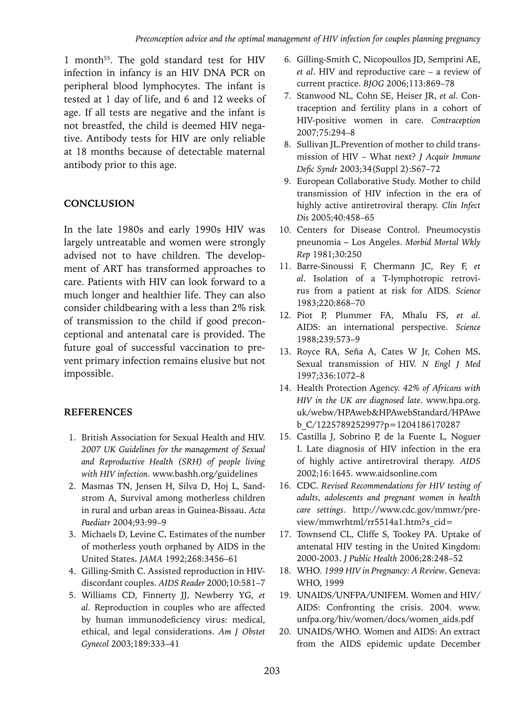1 month<sup>55</sup>. The gold standard test for HIV infection in infancy is an HIV DNA PCR on peripheral blood lymphocytes. The infant is tested at 1 day of life, and 6 and 12 weeks of age. If all tests are negative and the infant is not breastfed, the child is deemed HIV negative. Antibody tests for HIV are only reliable at 18 months because of detectable maternal antibody prior to this age.

# **CONCLUSION**

In the late 1980s and early 1990s HIV was largely untreatable and women were strongly advised not to have children. The development of ART has transformed approaches to care. Patients with HIV can look forward to a much longer and healthier life. They can also consider childbearing with a less than 2% risk of transmission to the child if good preconceptional and antenatal care is provided. The future goal of successful vaccination to prevent primary infection remains elusive but not impossible.

## **References**

- 1. British Association for Sexual Health and HIV. *2007 UK Guidelines for the management of Sexual and Reproductive Health (SRH) of people living with HIV infection*. www.bashh.org/guidelines
- 2. Masmas TN, Jensen H, Silva D, Hoj L, Sandstrom A, Survival among motherless children in rural and urban areas in Guinea-Bissau. *Acta Paediatr* 2004;93:99–9
- 3. Michaels D, Levine C**.** Estimates of the number of motherless youth orphaned by AIDS in the United States**.** *JAMA* 1992;268:3456–61
- 4. Gilling-Smith C. Assisted reproduction in HIVdiscordant couples. *AIDS Reader* 2000;10:581–7
- 5. Williams CD, Finnerty JJ, Newberry YG, *et al*. Reproduction in couples who are affected by human immunodeficiency virus: medical, ethical, and legal considerations. *Am J Obstet Gynecol* 2003;189:333–41
- 6. Gilling-Smith C, Nicopoullos JD, Semprini AE, *et al*. HIV and reproductive care – a review of current practice. *BJOG* 2006;113:869–78
- 7. Stanwood NL, Cohn SE, Heiser JR, *et al*. Contraception and fertility plans in a cohort of HIV-positive women in care. *Contraception* 2007;75:294–8
- 8. Sullivan JL.Prevention of mother to child transmission of HIV – What next? *J Acquir Immune Defic Syndr* 2003;34(Suppl 2):S67–72
- 9. European Collaborative Study. Mother to child transmission of HIV infection in the era of highly active antiretroviral therapy. *Clin Infect Dis* 2005;40:458–65
- 10. Centers for Disease Control. Pneumocystis pneunomia **–** Los Angeles. *Morbid Mortal Wkly Rep* 1981;30:250
- 11. Barre-Sinoussi F, Chermann JC, Rey F, *et al*. Isolation of a T-lymphotropic retrovirus from a patient at risk for AIDS. *Science*  1983;220:868–70
- 12. Piot P, Plummer FA, Mhalu FS, *et al*. AIDS: an international perspective. *Science* 1988;239:573–9
- 13. Royce RA, Seña A, Cates W Jr, Cohen MS**.** Sexual transmission of HIV. *N Engl J Med* 1997;336:1072–8
- 14. Health Protection Agency. *42% of Africans with HIV in the UK are diagnosed late*. www.hpa.org. uk/webw/HPAweb&HPAwebStandard/HPAwe b\_C/1225789252997?p=1204186170287
- 15. Castilla J, Sobrino P, de la Fuente L, Noguer I. Late diagnosis of HIV infection in the era of highly active antiretroviral therapy. *AIDS* 2002;16:1645. www.aidsonline.com
- 16. CDC. *Revised Recommendations for HIV testing of adults, adolescents and pregnant women in health care settings*. http://www.cdc.gov/mmwr/preview/mmwrhtml/rr5514a1.htm?s\_cid=
- 17. Townsend CL, Cliffe S, Tookey PA. Uptake of antenatal HIV testing in the United Kingdom: 2000-2003. *J Public Health* 2006;28:248–52
- 18. WHO*. 1999 HIV in Pregnancy: A Review*. Geneva: WHO, 1999
- 19. UNAIDS/UNFPA/UNIFEM. Women and HIV/ AIDS: Confronting the crisis. 2004. www. unfpa.org/hiv/women/docs/women\_aids.pdf
- 20. UNAIDS/WHO. Women and AIDS: An extract from the AIDS epidemic update December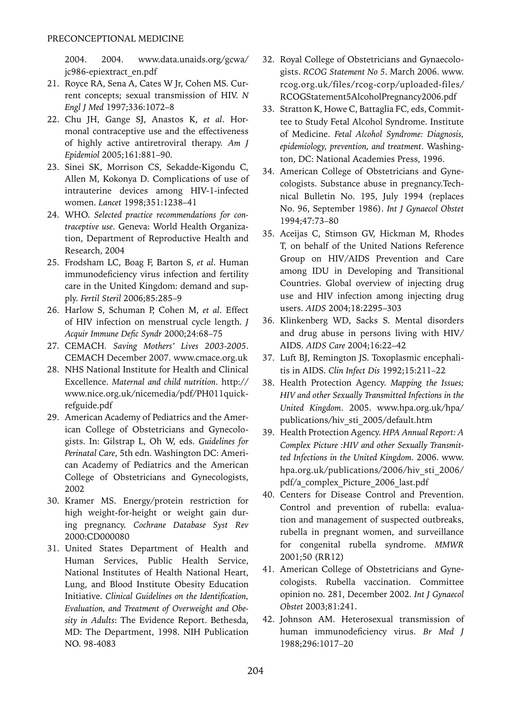2004. 2004. www.data.unaids.org/gcwa/ jc986-epiextract\_en.pdf

- 21. Royce RA, Sena A, Cates W Jr, Cohen MS. Current concepts; sexual transmission of HIV. *N Engl J Med* 1997;336:1072–8
- 22. Chu JH, Gange SJ, Anastos K, *et al*. Hormonal contraceptive use and the effectiveness of highly active antiretroviral therapy. *Am J Epidemiol* 2005;161:881–90.
- 23. Sinei SK, Morrison CS, Sekadde-Kigondu C, Allen M, Kokonya D. Complications of use of intrauterine devices among HIV-1-infected women. *Lancet* 1998;351:1238–41
- 24. WHO. *Selected practice recommendations for contraceptive use*. Geneva: World Health Organization, Department of Reproductive Health and Research, 2004
- 25. Frodsham LC, Boag F, Barton S, *et al*. Human immunodeficiency virus infection and fertility care in the United Kingdom: demand and supply. *Fertil Steril* 2006;85:285–9
- 26. Harlow S, Schuman P, Cohen M, *et al*. Effect of HIV infection on menstrual cycle length. *J Acquir Immune Defic Syndr* 2000;24:68–75
- 27. CEMACH. *Saving Mothers' Lives 2003-2005*. CEMACH December 2007. www.cmace.org.uk
- 28. NHS National Institute for Health and Clinical Excellence. *Maternal and child nutrition*. http:// www.nice.org.uk/nicemedia/pdf/PH011quickrefguide.pdf
- 29. American Academy of Pediatrics and the American College of Obstetricians and Gynecologists. In: Gilstrap L, Oh W, eds. *Guidelines for Perinatal Care*, 5th edn. Washington DC: American Academy of Pediatrics and the American College of Obstetricians and Gynecologists, 2002
- 30. Kramer MS. Energy/protein restriction for high weight-for-height or weight gain during pregnancy. *Cochrane Database Syst Rev* 2000:CD000080
- 31. United States Department of Health and Human Services, Public Health Service, National Institutes of Health National Heart, Lung, and Blood Institute Obesity Education Initiative. *Clinical Guidelines on the Identification, Evaluation, and Treatment of Overweight and Obesity in Adults*: The Evidence Report. Bethesda, MD: The Department, 1998. NIH Publication NO. 98-4083
- 32. Royal College of Obstetricians and Gynaecologists. *RCOG Statement No 5*. March 2006. www. rcog.org.uk/files/rcog-corp/uploaded-files/ RCOGStatement5AlcoholPregnancy2006.pdf
- 33. Stratton K, Howe C, Battaglia FC, eds, Committee to Study Fetal Alcohol Syndrome. Institute of Medicine. *Fetal Alcohol Syndrome: Diagnosis, epidemiology, prevention, and treatment*. Washington, DC: National Academies Press, 1996.
- 34. American College of Obstetricians and Gynecologists. Substance abuse in pregnancy.Technical Bulletin No. 195, July 1994 (replaces No. 96, September 1986). *Int J Gynaecol Obstet* 1994;47:73–80
- 35. Aceijas C, Stimson GV, Hickman M, Rhodes T, on behalf of the United Nations Reference Group on HIV/AIDS Prevention and Care among IDU in Developing and Transitional Countries. Global overview of injecting drug use and HIV infection among injecting drug users. *AIDS* 2004;18:2295–303
- 36. Klinkenberg WD, Sacks S. Mental disorders and drug abuse in persons living with HIV/ AIDS. *AIDS Care* 2004;16:22–42
- 37. Luft BJ, Remington JS. Toxoplasmic encephalitis in AIDS. *Clin Infect Dis* 1992;15:211–22
- 38. Health Protection Agency. *Mapping the Issues; HIV and other Sexually Transmitted Infections in the United Kingdom*. 2005. www.hpa.org.uk/hpa/ publications/hiv\_sti\_2005/default.htm
- 39. Health Protection Agency. *HPA Annual Report: A Complex Picture :HIV and other Sexually Transmitted Infections in the United Kingdom.* 2006. www. hpa.org.uk/publications/2006/hiv\_sti\_2006/ pdf/a\_complex\_Picture\_2006\_last.pdf
- 40. Centers for Disease Control and Prevention. Control and prevention of rubella: evaluation and management of suspected outbreaks, rubella in pregnant women, and surveillance for congenital rubella syndrome. *MMWR* 2001;50 (RR12)
- 41. American College of Obstetricians and Gynecologists. Rubella vaccination. Committee opinion no. 281, December 2002. *Int J Gynaecol Obstet* 2003;81:241.
- 42. Johnson AM. Heterosexual transmission of human immunodeficiency virus. *Br Med J* 1988;296:1017–20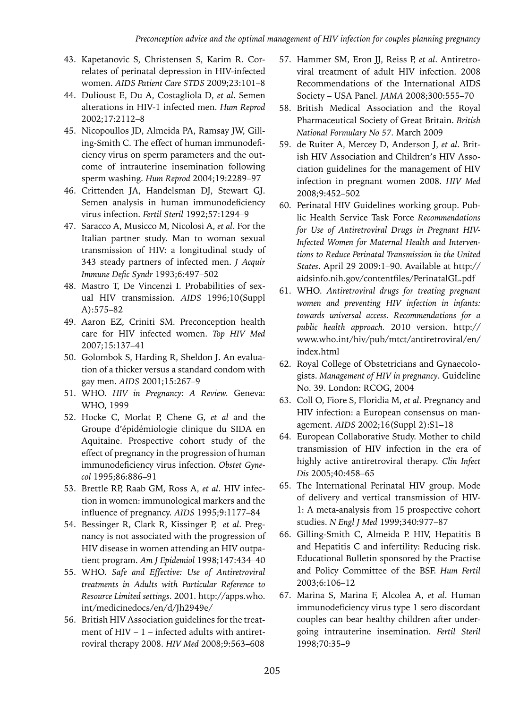- 43. Kapetanovic S, Christensen S, Karim R. Correlates of perinatal depression in HIV-infected women. *AIDS Patient Care STDS* 2009;23:101–8
- 44. Dulioust E, Du A, Costagliola D, *et al*. Semen alterations in HIV-1 infected men. *Hum Reprod* 2002;17:2112–8
- 45. Nicopoullos JD, Almeida PA, Ramsay JW, Gilling-Smith C. The effect of human immunodeficiency virus on sperm parameters and the outcome of intrauterine insemination following sperm washing. *Hum Reprod* 2004;19:2289–97
- 46. Crittenden JA, Handelsman DJ, Stewart GJ. Semen analysis in human immunodeficiency virus infection. *Fertil Steril* 1992;57:1294–9
- 47. Saracco A, Musicco M, Nicolosi A, *et al*. For the Italian partner study. Man to woman sexual transmission of HIV: a longitudinal study of 343 steady partners of infected men. *J Acquir Immune Defic Syndr* 1993;6:497–502
- 48. Mastro T, De Vincenzi I. Probabilities of sexual HIV transmission. *AIDS* 1996;10(Suppl A):575–82
- 49. Aaron EZ, Criniti SM. Preconception health care for HIV infected women. *Top HIV Med* 2007;15:137–41
- 50. Golombok S, Harding R, Sheldon J. An evaluation of a thicker versus a standard condom with gay men. *AIDS* 2001;15:267–9
- 51. WHO*. HIV in Pregnancy: A Review.* Geneva: WHO, 1999
- 52. Hocke C, Morlat P, Chene G, *et al* and the Groupe d'épidémiologie clinique du SIDA en Aquitaine. Prospective cohort study of the effect of pregnancy in the progression of human immunodeficiency virus infection. *Obstet Gynecol* 1995;86:886–91
- 53. Brettle RP, Raab GM, Ross A, *et al*. HIV infection in women: immunological markers and the influence of pregnancy. *AIDS* 1995;9:1177–84
- 54. Bessinger R, Clark R, Kissinger P, *et al*. Pregnancy is not associated with the progression of HIV disease in women attending an HIV outpatient program. *Am J Epidemiol* 1998;147:434–40
- 55. WHO. *Safe and Effective: Use of Antiretroviral treatments in Adults with Particular Reference to Resource Limited settings*. 2001. http://apps.who. int/medicinedocs/en/d/Jh2949e/
- 56. British HIV Association guidelines for the treatment of HIV – 1 – infected adults with antiretroviral therapy 2008. *HIV Med* 2008;9:563–608
- 57. Hammer SM, Eron JJ, Reiss P, *et al*. Antiretroviral treatment of adult HIV infection. 2008 Recommendations of the International AIDS Society – USA Panel. *JAMA* 2008;300:555–70
- 58. British Medical Association and the Royal Pharmaceutical Society of Great Britain. *British National Formulary No 57.* March 2009
- 59. de Ruiter A, Mercey D, Anderson J, *et al*. British HIV Association and Children's HIV Association guidelines for the management of HIV infection in pregnant women 2008. *HIV Med*  2008;9:452–502
- 60. Perinatal HIV Guidelines working group. Public Health Service Task Force *Recommendations for Use of Antiretroviral Drugs in Pregnant HIV-Infected Women for Maternal Health and Interventions to Reduce Perinatal Transmission in the United States*. April 29 2009:1–90. Available at http:// aidsinfo.nih.gov/contentfiles/PerinatalGL.pdf
- 61. WHO. *Antiretroviral drugs for treating pregnant women and preventing HIV infection in infants: towards universal access. Recommendations for a public health approach.* 2010 version. http:// www.who.int/hiv/pub/mtct/antiretroviral/en/ index.html
- 62. Royal College of Obstetricians and Gynaecologists. *Management of HIV in pregnancy*. Guideline No. 39. London: RCOG, 2004
- 63. Coll O, Fiore S, Floridia M, *et al*. Pregnancy and HIV infection: a European consensus on management. *AIDS* 2002;16(Suppl 2):S1–18
- 64. European Collaborative Study. Mother to child transmission of HIV infection in the era of highly active antiretroviral therapy. *Clin Infect Dis* 2005;40:458–65
- 65. The International Perinatal HIV group. Mode of delivery and vertical transmission of HIV-1: A meta-analysis from 15 prospective cohort studies. *N Engl J Med* 1999;340:977–87
- 66. Gilling-Smith C, Almeida P. HIV, Hepatitis B and Hepatitis C and infertility: Reducing risk. Educational Bulletin sponsored by the Practise and Policy Committee of the BSF. *Hum Fertil* 2003;6:106–12
- 67. Marina S, Marina F, Alcolea A, *et al*. Human immunodeficiency virus type 1 sero discordant couples can bear healthy children after undergoing intrauterine insemination. *Fertil Steril* 1998;70:35–9